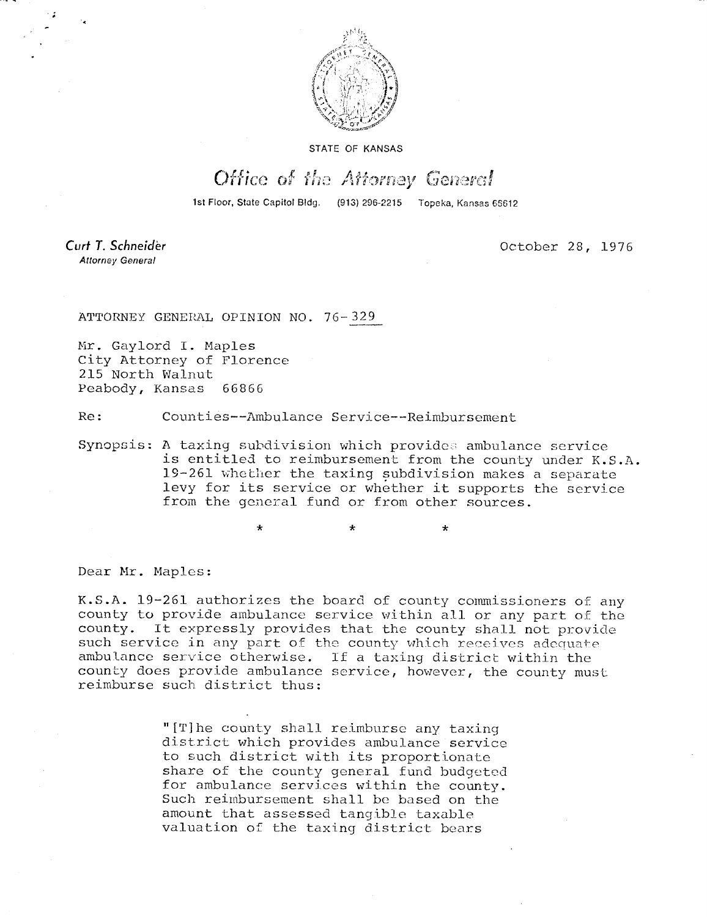

STATE OF KANSAS

## Office of the Attorney General

1st Floor, State Capitol Bldg. (913) 296-2215 Topeka, Kansas 65612

Curt T. Schneider **Attorney General** 

October 28, 1976

ATTORNEY GENERAL OPINION NO. 76-329

Mr. Gaylord I. Maples City Attorney of Florence 215 North Walnut Peabody, Kansas 66866

Re: Counties--Ambulance Service--Reimbursement

\*

Synopsis: A taxing subdivision which provides ambulance service is entitled to reimbursement from the county under K.S.A. 19-261 whether the taxing subdivision makes a separate levy for its service or whether it supports the service from the general fund or from other sources.

Dear Mr. Maples:

K.S.A. 19-261 authorizes the board of county commissioners of any county to provide ambulance service within all or any part of the county. It expressly provides that the county shall not provide such service in any part of the county which receives adequate ambulance service otherwise. If a taxing district within the county does provide ambulance service, however, the county must reimburse such district thus:

> "[T]he county shall reimburse any taxing district which provides ambulance service to such district with its proportionate share of the county general fund budgeted for ambulance services within the county. Such reimbursement shall be based on the amount that assessed tangible taxable valuation of the taxing district bears